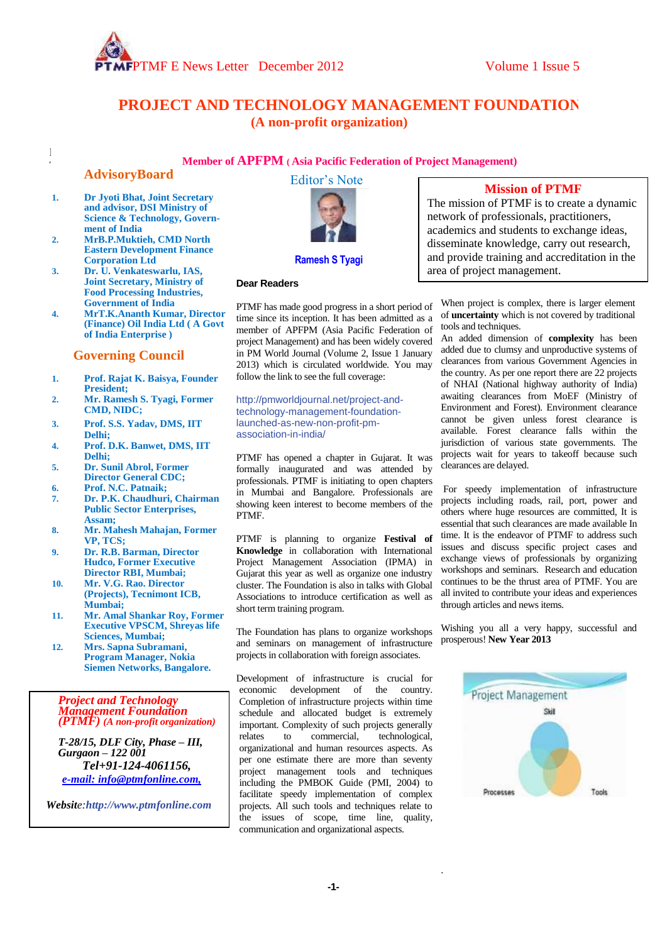

# **PROJECT AND TECHNOLOGY MANAGEMENT FOUNDATION (A non-profit organization)**

### **Member of APFPM ( Asia Pacific Federation of Project Management)**

### **AdvisoryBoard**

 $\,$   $\,$ T

- $\mathbf{1}$ **1. Dr Jyoti Bhat, Joint Secretary and advisor, DSI Ministry of Science & Technology, Government of India**
- $\overline{z}$ **2. MrB.P.Muktieh, CMD North Eastern Development Finance Corporation Ltd**
- $\mathbf{R}$ **3. Dr. U. Venkateswarlu, IAS, Joint Secretary, Ministry of Food Processing Industries, Government of India**
- $\overline{\mathbf{4}}$ e **4. MrT.K.Ananth Kumar, Director (Finance) Oil India Ltd ( A Govt of India Enterprise )**

#### **Governing Council**

- r **1. Prof. Rajat K. Baisya, Founder President;**
- **2. Mr. Ramesh S. Tyagi, Former CMD, NIDC;**
- **3. Prof. S.S. Yadav, DMS, IIT Delhi;**
- **4. Prof. D.K. Banwet, DMS, IIT Delhi;**
- **5. Dr. Sunil Abrol, Former Director General CDC;**
- **6. Prof. N.C. Patnaik; 7. Dr. P.K. Chaudhuri, Chairman**
- **Public Sector Enterprises, Assam;**
- **8. Mr. Mahesh Mahajan, Former VP, TCS;**
- **9. Dr. R.B. Barman, Director Hudco, Former Executive Director RBI, Mumbai;**
- **10. Mr. V.G. Rao. Director (Projects), Tecnimont ICB, Mumbai;**
- **11. Mr. Amal Shankar Roy, Former Executive VPSCM, Shreyas life Sciences, Mumbai;**
- **12. Mrs. Sapna Subramani, Program Manager, Nokia Siemen Networks, Bangalore.**

*Project and Technology Management Foundation (PTMF) (A non-profit organization)*

*T-28/15, DLF City, Phase – III, Gurgaon – 122 001 Tel+91-124-4061156, [e-mail: info@ptmfonline.com,](mailto:info@ptmfonline.com,)*

*Website:[http://www.ptmfonline.com](http://www.ptmfonline.com/)*





#### **Ramesh S Tyagi**

#### **Dear Readers**

PTMF has made good progress in a short period of time since its inception. It has been admitted as a member of APFPM (Asia Pacific Federation of project Management) and has been widely covered in PM World Journal (Volume 2, Issue 1 January 2013) which is circulated worldwide. You may follow the link to see the full coverage:

[http://pmworldjournal.net/project-and](http://pmworldjournal.net/project-and-technology-management-foundation-launched-as-new-non-profit-pm-association-in-india/)[technology-management-foundation](http://pmworldjournal.net/project-and-technology-management-foundation-launched-as-new-non-profit-pm-association-in-india/)[launched-as-new-non-profit-pm](http://pmworldjournal.net/project-and-technology-management-foundation-launched-as-new-non-profit-pm-association-in-india/)[association-in-india/](http://pmworldjournal.net/project-and-technology-management-foundation-launched-as-new-non-profit-pm-association-in-india/)

PTMF has opened a chapter in Gujarat. It was formally inaugurated and was attended by professionals. PTMF is initiating to open chapters in Mumbai and Bangalore. Professionals are showing keen interest to become members of the PTMF.

PTMF is planning to organize **Festival of Knowledge** in collaboration with International Project Management Association (IPMA) in Gujarat this year as well as organize one industry cluster. The Foundation is also in talks with Global Associations to introduce certification as well as short term training program.

The Foundation has plans to organize workshops and seminars on management of infrastructure projects in collaboration with foreign associates.

Development of infrastructure is crucial for economic development of the country. Completion of infrastructure projects within time schedule and allocated budget is extremely important. Complexity of such projects generally relates to commercial, technological, organizational and human resources aspects. As per one estimate there are more than seventy project management tools and techniques including the PMBOK Guide (PMI, 2004) to facilitate speedy implementation of complex projects. All such tools and techniques relate to the issues of scope, time line, quality, communication and organizational aspects.

# **Mission of PTMF**

disseminate knowledge, carry out research, and provide training and accreditation in the area of project management. area of project management. The mission of PTMF is to create a dynamic network of professionals, practitioners, academics and students to exchange ideas,

When project is complex, there is larger element of **uncertainty** which is not covered by traditional tools and techniques.

An added dimension of **complexity** has been added due to clumsy and unproductive systems of clearances from various Government Agencies in the country. As per one report there are 22 projects of NHAI (National highway authority of India) awaiting clearances from MoEF (Ministry of Environment and Forest). Environment clearance cannot be given unless forest clearance is available. Forest clearance falls within the jurisdiction of various state governments. The projects wait for years to takeoff because such clearances are delayed.

For speedy implementation of infrastructure projects including roads, rail, port, power and others where huge resources are committed, It is essential that such clearances are made available In time. It is the endeavor of PTMF to address such issues and discuss specific project cases and exchange views of professionals by organizing workshops and seminars. Research and education continues to be the thrust area of PTMF. You are all invited to contribute your ideas and experiences through articles and news items.

Wishing you all a very happy, successful and prosperous! **New Year 2013**



.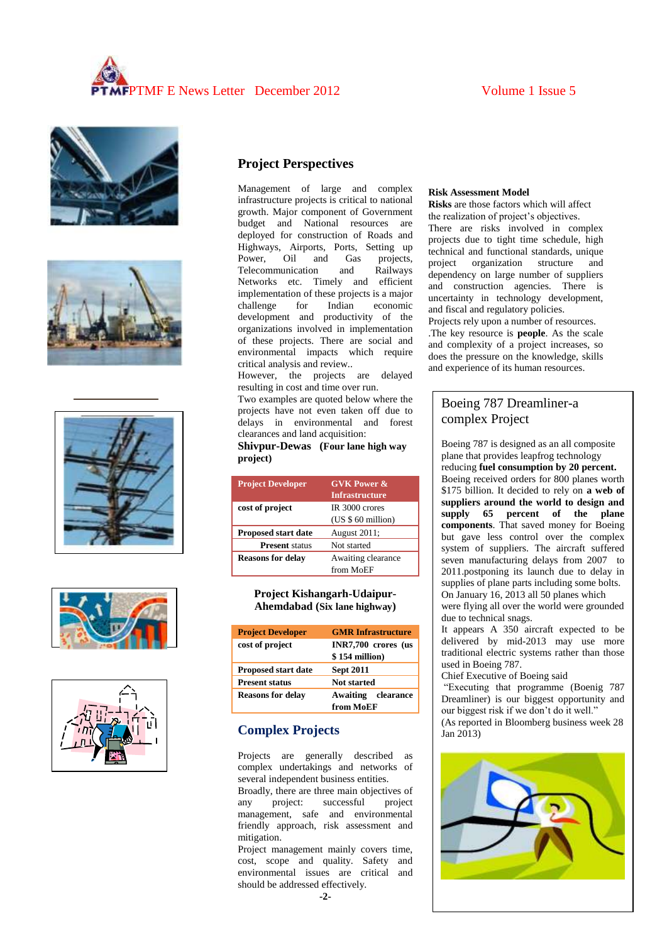# PTMF E News Letter December 2012 Volume 1 Issue 5











# **Project Perspectives**

Management of large and complex infrastructure projects is critical to national growth. Major component of Government budget and National resources are deployed for construction of Roads and Highways, Airports, Ports, Setting up Power, Oil and Gas projects, Telecommunication and Railways Networks etc. Timely and efficient implementation of these projects is a major challenge for Indian economic development and productivity of the organizations involved in implementation of these projects. There are social and environmental impacts which require critical analysis and review..

However, the projects are delayed resulting in cost and time over run.

Two examples are quoted below where the projects have not even taken off due to delays in environmental and forest clearances and land acquisition:

#### **Shivpur-Dewas (Four lane high way project)**

| <b>Project Developer</b>   | <b>GVK Power &amp;</b> |
|----------------------------|------------------------|
|                            | <b>Infrastructure</b>  |
| cost of project            | IR 3000 crores         |
|                            | $(US $ 60$ million)    |
| <b>Proposed start date</b> | August 2011;           |
| <b>Present</b> status      | Not started            |
| <b>Reasons for delay</b>   | Awaiting clearance     |
|                            | from MoEF              |

#### **Project Kishangarh-Udaipur-Ahemdabad (Six lane highway)**

| <b>Project Developer</b>   | <b>GMR</b> Infrastructure             |
|----------------------------|---------------------------------------|
| cost of project            | INR7,700 crores (us<br>\$154 million) |
| <b>Proposed start date</b> | <b>Sept 2011</b>                      |
| <b>Present status</b>      | <b>Not started</b>                    |
| <b>Reasons for delay</b>   | clearance<br>Awaiting                 |
|                            | from MoEF                             |

# **Complex Projects**

Projects are generally described as complex undertakings and networks of several independent business entities.

Broadly, there are three main objectives of any project: successful project management, safe and environmental friendly approach, risk assessment and mitigation.

Project management mainly covers time, cost, scope and quality. Safety and environmental issues are critical and should be addressed effectively.

### **Risk Assessment Model**

**Risks** are those factors which will affect the realization of project's objectives. There are risks involved in complex projects due to tight time schedule, high technical and functional standards, unique project organization structure and dependency on large number of suppliers and construction agencies. There is uncertainty in technology development, and fiscal and regulatory policies. Projects rely upon a number of resources. .The key resource is **people**. As the scale and complexity of a project increases, so does the pressure on the knowledge, skills

# Boeing 787 Dreamliner-a complex Project

and experience of its human resources.

Boeing 787 is designed as an all composite plane that provides leapfrog technology reducing **fuel consumption by 20 percent.** Boeing received orders for 800 planes worth \$175 billion. It decided to rely on **a web of suppliers around the world to design and supply 65 percent of the plane components**. That saved money for Boeing but gave less control over the complex system of suppliers. The aircraft suffered seven manufacturing delays from 2007 to 2011.postponing its launch due to delay in supplies of plane parts including some bolts. On January 16, 2013 all 50 planes which

were flying all over the world were grounded due to technical snags.

It appears A 350 aircraft expected to be delivered by mid-2013 may use more traditional electric systems rather than those used in Boeing 787.

Chief Executive of Boeing said

"Executing that programme (Boenig 787 Dreamliner) is our biggest opportunity and our biggest risk if we don't do it well." (As reported in Bloomberg business week 28  $\text{Ian } 2013$ 

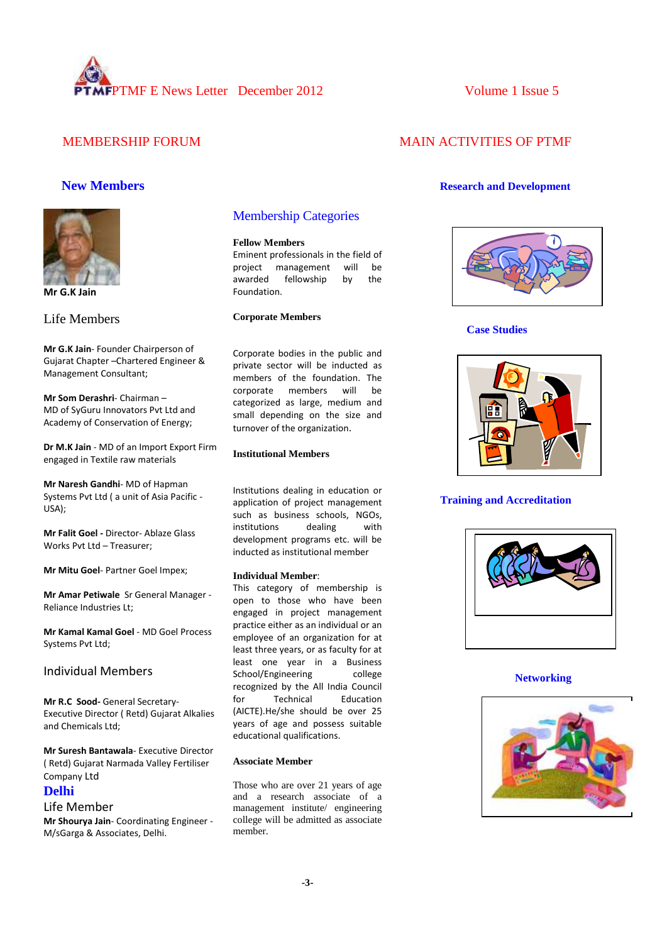

# MEMBERSHIP FORUM MAIN ACTIVITIES OF PTMF



**Mr G.K Jain**

Life Members

**Mr G.K Jain**- Founder Chairperson of Gujarat Chapter –Chartered Engineer & Management Consultant;

**Mr Som Derashri**- Chairman – MD of SyGuru Innovators Pvt Ltd and Academy of Conservation of Energy;

**Dr M.K Jain** - MD of an Import Export Firm engaged in Textile raw materials

**Mr Naresh Gandhi**- MD of Hapman Systems Pvt Ltd ( a unit of Asia Pacific - USA);

**Mr Falit Goel -** Director- Ablaze Glass Works Pvt Ltd – Treasurer;

**Mr Mitu Goel**- Partner Goel Impex;

**Mr Amar Petiwale** Sr General Manager - Reliance Industries Lt;

**Mr Kamal Kamal Goel** - MD Goel Process Systems Pvt Ltd;

### Individual Members

**Mr R.C Sood-** General Secretary-Executive Director ( Retd) Gujarat Alkalies and Chemicals Ltd;

**Mr Suresh Bantawala**- Executive Director ( Retd) Gujarat Narmada Valley Fertiliser Company Ltd

# **Delhi**

#### Life Member

**Mr Shourya Jain**- Coordinating Engineer - M/sGarga & Associates, Delhi.

## Membership Categories

#### **Fellow Members**

Eminent professionals in the field of project management will be awarded fellowship by the Foundation.

#### **Corporate Members**

Corporate bodies in the public and private sector will be inducted as members of the foundation. The corporate members will be categorized as large, medium and small depending on the size and turnover of the organization.

#### **Institutional Members**

Institutions dealing in education or application of project management such as business schools, NGOs, institutions dealing with development programs etc. will be inducted as institutional member

#### **Individual Member**:

This category of membership is open to those who have been engaged in project management practice either as an individual or an employee of an organization for at least three years, or as faculty for at least one year in a Business School/Engineering college recognized by the All India Council for Technical Education (AICTE).He/she should be over 25 years of age and possess suitable educational qualifications.

#### **Associate Member**

Those who are over 21 years of age and a research associate of a management institute/ engineering college will be admitted as associate member.

### **New Members Research and Development**



**Case Studies**



#### **Training and Accreditation**



#### **Networking**

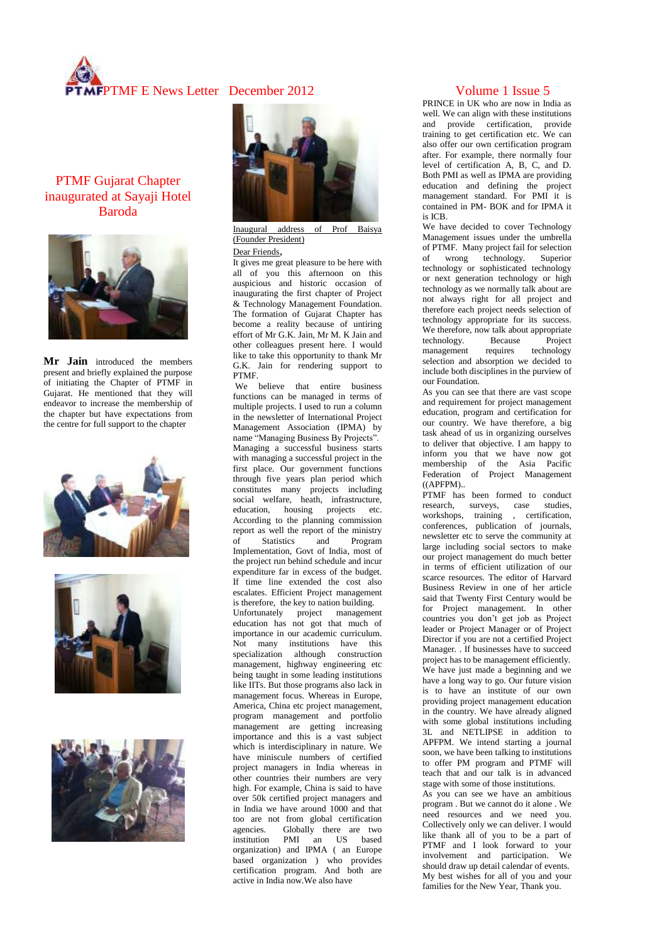

# PTMF Gujarat Chapter inaugurated at Sayaji Hotel Baroda



**Mr Jain** introduced the members present and briefly explained the purpose of initiating the Chapter of PTMF in Gujarat. He mentioned that they will endeavor to increase the membership of the chapter but have expectations from the centre for full support to the chapter









Inaugural address of Prof Baisya (Founder President)

#### Dear Friends,

It gives me great pleasure to be here with all of you this afternoon on this auspicious and historic occasion of inaugurating the first chapter of Project & Technology Management Foundation. The formation of Gujarat Chapter has become a reality because of untiring effort of Mr G.K. Jain, Mr M. K Jain and other colleagues present here. I would like to take this opportunity to thank Mr G.K. Jain for rendering support to PTMF.

We believe that entire business functions can be managed in terms of multiple projects. I used to run a column in the newsletter of International Project Management Association (IPMA) by name "Managing Business By Projects". Managing a successful business starts with managing a successful project in the first place. Our government functions through five years plan period which constitutes many projects including social welfare, heath, infrastructure, education, housing projects etc. According to the planning commission report as well the report of the ministry<br>of Statistics and Program of Statistics and Program Implementation, Govt of India, most of the project run behind schedule and incur expenditure far in excess of the budget. If time line extended the cost also escalates. Efficient Project management is therefore, the key to nation building. Unfortunately project management education has not got that much of importance in our academic curriculum. Not many institutions have this specialization although construction management, highway engineering etc being taught in some leading institutions like IITs. But those programs also lack in management focus. Whereas in Europe, America, China etc project management, program management and portfolio management are getting increasing importance and this is a vast subject which is interdisciplinary in nature. We have miniscule numbers of certified project managers in India whereas in other countries their numbers are very high. For example, China is said to have over 50k certified project managers and in India we have around 1000 and that too are not from global certification<br>agencies. Globally there are two agencies. Globally there are two<br>institution PMI an US based PMI an US based organization) and IPMA ( an Europe based organization ) who provides certification program. And both are active in India now.We also have

PRINCE in UK who are now in India as well. We can align with these institutions and provide certification, provide training to get certification etc. We can also offer our own certification program after. For example, there normally four level of certification A, B, C, and D. Both PMI as well as IPMA are providing education and defining the project management standard. For PMI it is contained in PM- BOK and for IPMA it is ICB.

We have decided to cover Technology Management issues under the umbrella of PTMF. Many project fail for selection of wrong technology. Superior technology or sophisticated technology or next generation technology or high technology as we normally talk about are not always right for all project and therefore each project needs selection of technology appropriate for its success. We therefore, now talk about appropriate<br>technology. Because Project technology. Because Project management requires technology selection and absorption we decided to include both disciplines in the purview of our Foundation.

As you can see that there are vast scope and requirement for project management education, program and certification for our country. We have therefore, a big task ahead of us in organizing ourselves to deliver that objective. I am happy to inform you that we have now got membership of the Asia Pacific Federation of Project Management  $((APPM)$ ..

PTMF has been formed to conduct<br>research surveys, case studies. research, surveys, case workshops, training , certification, conferences, publication of journals, newsletter etc to serve the community at large including social sectors to make our project management do much better in terms of efficient utilization of our scarce resources. The editor of Harvard Business Review in one of her article said that Twenty First Century would be for Project management. In other countries you don't get job as Project leader or Project Manager or of Project Director if you are not a certified Project Manager. . If businesses have to succeed project has to be management efficiently. We have just made a beginning and we have a long way to go. Our future vision is to have an institute of our own providing project management education in the country. We have already aligned with some global institutions including 3L and NETLIPSE in addition to APFPM. We intend starting a journal soon, we have been talking to institutions to offer PM program and PTMF will teach that and our talk is in advanced stage with some of those institutions.

As you can see we have an ambitious program . But we cannot do it alone . We need resources and we need you. Collectively only we can deliver. I would like thank all of you to be a part of PTMF and I look forward to your involvement and participation. We should draw up detail calendar of events. My best wishes for all of you and your families for the New Year, Thank you.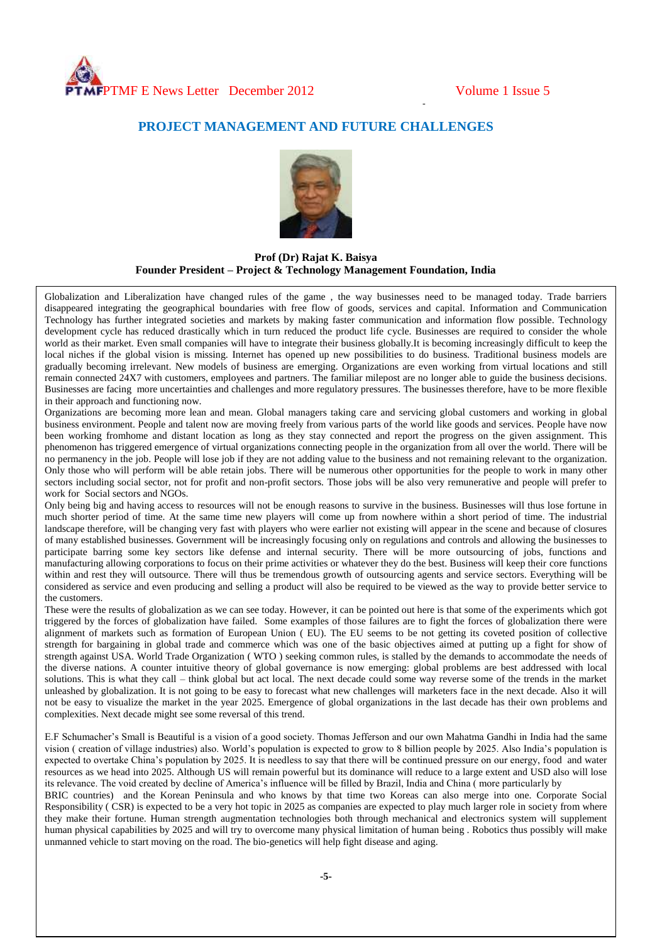-

# **PROJECT MANAGEMENT AND FUTURE CHALLENGES**



**Prof (Dr) Rajat K. Baisya Founder President – Project & Technology Management Foundation, India**

Globalization and Liberalization have changed rules of the game , the way businesses need to be managed today. Trade barriers disappeared integrating the geographical boundaries with free flow of goods, services and capital. Information and Communication Technology has further integrated societies and markets by making faster communication and information flow possible. Technology development cycle has reduced drastically which in turn reduced the product life cycle. Businesses are required to consider the whole world as their market. Even small companies will have to integrate their business globally.It is becoming increasingly difficult to keep the local niches if the global vision is missing. Internet has opened up new possibilities to do business. Traditional business models are gradually becoming irrelevant. New models of business are emerging. Organizations are even working from virtual locations and still remain connected 24X7 with customers, employees and partners. The familiar milepost are no longer able to guide the business decisions. Businesses are facing more uncertainties and challenges and more regulatory pressures. The businesses therefore, have to be more flexible in their approach and functioning now.

Organizations are becoming more lean and mean. Global managers taking care and servicing global customers and working in global business environment. People and talent now are moving freely from various parts of the world like goods and services. People have now been working fromhome and distant location as long as they stay connected and report the progress on the given assignment. This phenomenon has triggered emergence of virtual organizations connecting people in the organization from all over the world. There will be no permanency in the job. People will lose job if they are not adding value to the business and not remaining relevant to the organization. Only those who will perform will be able retain jobs. There will be numerous other opportunities for the people to work in many other sectors including social sector, not for profit and non-profit sectors. Those jobs will be also very remunerative and people will prefer to work for Social sectors and NGOs.

Only being big and having access to resources will not be enough reasons to survive in the business. Businesses will thus lose fortune in much shorter period of time. At the same time new players will come up from nowhere within a short period of time. The industrial landscape therefore, will be changing very fast with players who were earlier not existing will appear in the scene and because of closures of many established businesses. Government will be increasingly focusing only on regulations and controls and allowing the businesses to participate barring some key sectors like defense and internal security. There will be more outsourcing of jobs, functions and manufacturing allowing corporations to focus on their prime activities or whatever they do the best. Business will keep their core functions within and rest they will outsource. There will thus be tremendous growth of outsourcing agents and service sectors. Everything will be considered as service and even producing and selling a product will also be required to be viewed as the way to provide better service to the customers.

These were the results of globalization as we can see today. However, it can be pointed out here is that some of the experiments which got triggered by the forces of globalization have failed. Some examples of those failures are to fight the forces of globalization there were alignment of markets such as formation of European Union ( EU). The EU seems to be not getting its coveted position of collective strength for bargaining in global trade and commerce which was one of the basic objectives aimed at putting up a fight for show of strength against USA. World Trade Organization ( WTO ) seeking common rules, is stalled by the demands to accommodate the needs of the diverse nations. A counter intuitive theory of global governance is now emerging: global problems are best addressed with local solutions. This is what they call – think global but act local. The next decade could some way reverse some of the trends in the market unleashed by globalization. It is not going to be easy to forecast what new challenges will marketers face in the next decade. Also it will not be easy to visualize the market in the year 2025. Emergence of global organizations in the last decade has their own problems and complexities. Next decade might see some reversal of this trend.

E.F Schumacher's Small is Beautiful is a vision of a good society. Thomas Jefferson and our own Mahatma Gandhi in India had the same vision ( creation of village industries) also. World's population is expected to grow to 8 billion people by 2025. Also India's population is expected to overtake China's population by 2025. It is needless to say that there will be continued pressure on our energy, food and water resources as we head into 2025. Although US will remain powerful but its dominance will reduce to a large extent and USD also will lose its relevance. The void created by decline of America's influence will be filled by Brazil, India and China ( more particularly by

BRIC countries) and the Korean Peninsula and who knows by that time two Koreas can also merge into one. Corporate Social Responsibility ( CSR) is expected to be a very hot topic in 2025 as companies are expected to play much larger role in society from where they make their fortune. Human strength augmentation technologies both through mechanical and electronics system will supplement human physical capabilities by 2025 and will try to overcome many physical limitation of human being . Robotics thus possibly will make unmanned vehicle to start moving on the road. The bio-genetics will help fight disease and aging.